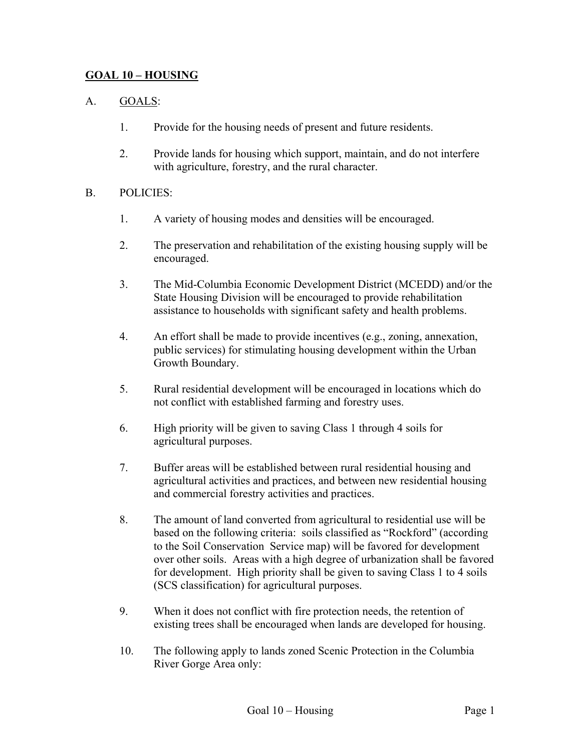## **GOAL 10 – HOUSING**

### A. GOALS:

- 1. Provide for the housing needs of present and future residents.
- 2. Provide lands for housing which support, maintain, and do not interfere with agriculture, forestry, and the rural character.

#### B. POLICIES:

- 1. A variety of housing modes and densities will be encouraged.
- 2. The preservation and rehabilitation of the existing housing supply will be encouraged.
- 3. The Mid-Columbia Economic Development District (MCEDD) and/or the State Housing Division will be encouraged to provide rehabilitation assistance to households with significant safety and health problems.
- 4. An effort shall be made to provide incentives (e.g., zoning, annexation, public services) for stimulating housing development within the Urban Growth Boundary.
- 5. Rural residential development will be encouraged in locations which do not conflict with established farming and forestry uses.
- 6. High priority will be given to saving Class 1 through 4 soils for agricultural purposes.
- 7. Buffer areas will be established between rural residential housing and agricultural activities and practices, and between new residential housing and commercial forestry activities and practices.
- 8. The amount of land converted from agricultural to residential use will be based on the following criteria: soils classified as "Rockford" (according to the Soil Conservation Service map) will be favored for development over other soils. Areas with a high degree of urbanization shall be favored for development. High priority shall be given to saving Class 1 to 4 soils (SCS classification) for agricultural purposes.
- 9. When it does not conflict with fire protection needs, the retention of existing trees shall be encouraged when lands are developed for housing.
- 10. The following apply to lands zoned Scenic Protection in the Columbia River Gorge Area only: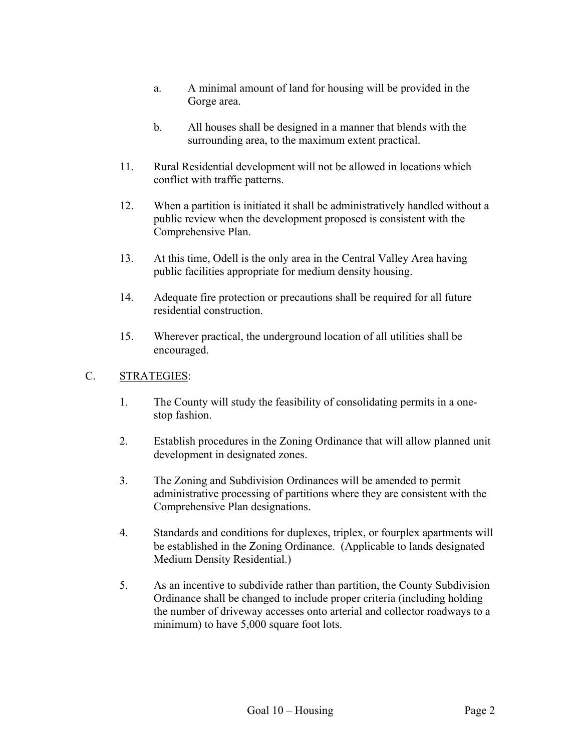- a. A minimal amount of land for housing will be provided in the Gorge area.
- b. All houses shall be designed in a manner that blends with the surrounding area, to the maximum extent practical.
- 11. Rural Residential development will not be allowed in locations which conflict with traffic patterns.
- 12. When a partition is initiated it shall be administratively handled without a public review when the development proposed is consistent with the Comprehensive Plan.
- 13. At this time, Odell is the only area in the Central Valley Area having public facilities appropriate for medium density housing.
- 14. Adequate fire protection or precautions shall be required for all future residential construction.
- 15. Wherever practical, the underground location of all utilities shall be encouraged.

## C. STRATEGIES:

- 1. The County will study the feasibility of consolidating permits in a onestop fashion.
- 2. Establish procedures in the Zoning Ordinance that will allow planned unit development in designated zones.
- 3. The Zoning and Subdivision Ordinances will be amended to permit administrative processing of partitions where they are consistent with the Comprehensive Plan designations.
- 4. Standards and conditions for duplexes, triplex, or fourplex apartments will be established in the Zoning Ordinance. (Applicable to lands designated Medium Density Residential.)
- 5. As an incentive to subdivide rather than partition, the County Subdivision Ordinance shall be changed to include proper criteria (including holding the number of driveway accesses onto arterial and collector roadways to a minimum) to have 5,000 square foot lots.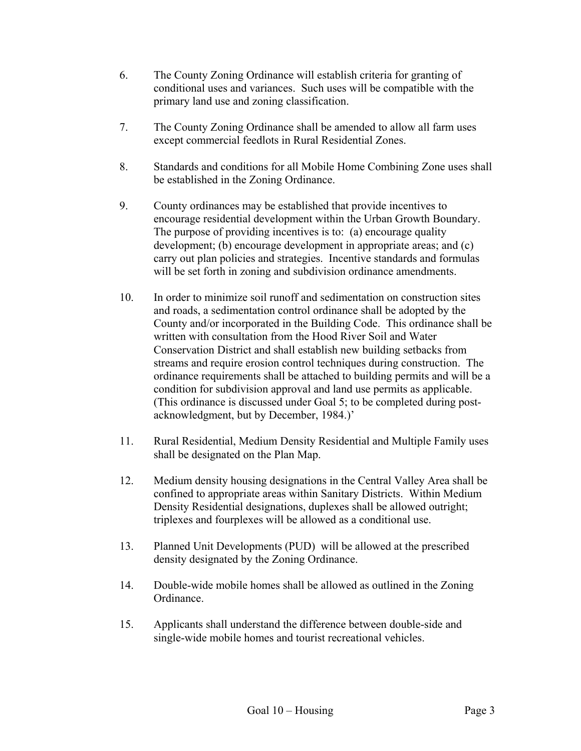- 6. The County Zoning Ordinance will establish criteria for granting of conditional uses and variances. Such uses will be compatible with the primary land use and zoning classification.
- 7. The County Zoning Ordinance shall be amended to allow all farm uses except commercial feedlots in Rural Residential Zones.
- 8. Standards and conditions for all Mobile Home Combining Zone uses shall be established in the Zoning Ordinance.
- 9. County ordinances may be established that provide incentives to encourage residential development within the Urban Growth Boundary. The purpose of providing incentives is to: (a) encourage quality development; (b) encourage development in appropriate areas; and (c) carry out plan policies and strategies. Incentive standards and formulas will be set forth in zoning and subdivision ordinance amendments.
- 10. In order to minimize soil runoff and sedimentation on construction sites and roads, a sedimentation control ordinance shall be adopted by the County and/or incorporated in the Building Code. This ordinance shall be written with consultation from the Hood River Soil and Water Conservation District and shall establish new building setbacks from streams and require erosion control techniques during construction. The ordinance requirements shall be attached to building permits and will be a condition for subdivision approval and land use permits as applicable. (This ordinance is discussed under Goal 5; to be completed during postacknowledgment, but by December, 1984.)'
- 11. Rural Residential, Medium Density Residential and Multiple Family uses shall be designated on the Plan Map.
- 12. Medium density housing designations in the Central Valley Area shall be confined to appropriate areas within Sanitary Districts. Within Medium Density Residential designations, duplexes shall be allowed outright; triplexes and fourplexes will be allowed as a conditional use.
- 13. Planned Unit Developments (PUD) will be allowed at the prescribed density designated by the Zoning Ordinance.
- 14. Double-wide mobile homes shall be allowed as outlined in the Zoning Ordinance.
- 15. Applicants shall understand the difference between double-side and single-wide mobile homes and tourist recreational vehicles.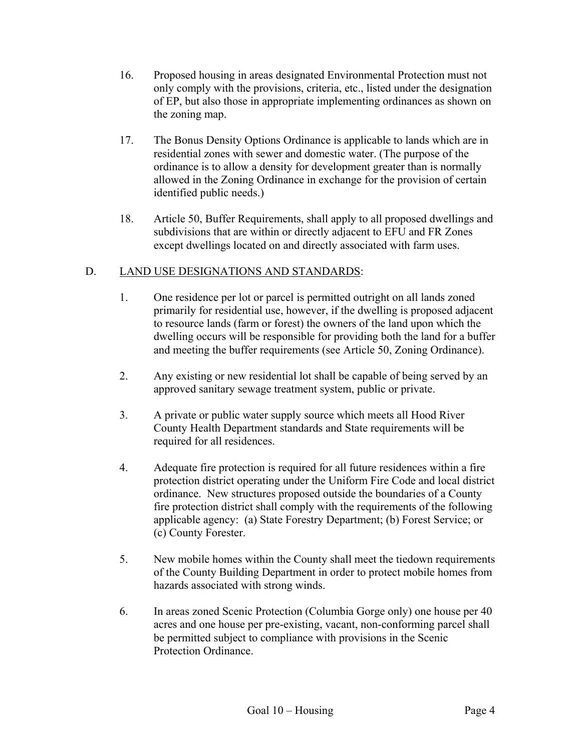- 16. Proposed housing in areas designated Environmental Protection must not only comply with the provisions, criteria, etc., listed under the designation of EP, but also those in appropriate implementing ordinances as shown on the zoning map.
- 17. The Bonus Density Options Ordinance is applicable to lands which are in residential zones with sewer and domestic water. (The purpose of the ordinance is to allow a density for development greater than is normally allowed in the Zoning Ordinance in exchange for the provision of certain identified public needs.)
- 18. Article 50, Buffer Requirements, shall apply to all proposed dwellings and subdivisions that are within or directly adjacent to EFU and FR Zones except dwellings located on and directly associated with farm uses.

# D. LAND USE DESIGNATIONS AND STANDARDS:

- 1. One residence per lot or parcel is permitted outright on all lands zoned primarily for residential use, however, if the dwelling is proposed adjacent to resource lands (farm or forest) the owners of the land upon which the dwelling occurs will be responsible for providing both the land for a buffer and meeting the buffer requirements (see Article 50, Zoning Ordinance).
- 2. Any existing or new residential lot shall be capable of being served by an approved sanitary sewage treatment system, public or private.
- 3. A private or public water supply source which meets all Hood River County Health Department standards and State requirements will be required for all residences.
- 4. Adequate fire protection is required for all future residences within a fire protection district operating under the Uniform Fire Code and local district ordinance. New structures proposed outside the boundaries of a County fire protection district shall comply with the requirements of the following applicable agency: (a) State Forestry Department; (b) Forest Service; or (c) County Forester.
- 5. New mobile homes within the County shall meet the tiedown requirements of the County Building Department in order to protect mobile homes from hazards associated with strong winds.
- 6. In areas zoned Scenic Protection (Columbia Gorge only) one house per 40 acres and one house per pre-existing, vacant, non-conforming parcel shall be permitted subject to compliance with provisions in the Scenic Protection Ordinance.